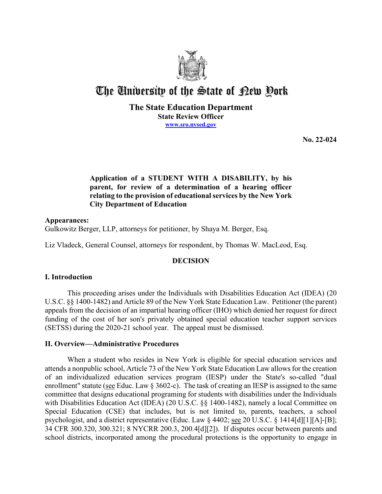

# The University of the State of Pew Pork

### **The State Education Department State Review Officer [www.sro.nysed.gov](http://www.sro.nysed.gov/)**

**No. 22-024** 

# **Application of a STUDENT WITH A DISABILITY, by his relating to the provision of educational services by the New York parent, for review of a determination of a hearing officer City Department of Education**

# **Appearances:**  Gulkowitz Berger, LLP, attorneys for petitioner, by Shaya M. Berger, Esq.

Liz Vladeck, General Counsel, attorneys for respondent, by Thomas W. MacLeod, Esq.

# **DECISION**

# **I. Introduction**

This proceeding arises under the Individuals with Disabilities Education Act (IDEA) (20 U.S.C. §§ 1400-1482) and Article 89 of the New York State Education Law. Petitioner (the parent) appeals from the decision of an impartial hearing officer (IHO) which denied her request for direct funding of the cost of her son's privately obtained special education teacher support services (SETSS) during the 2020-21 school year. The appeal must be dismissed.

# **II. Overview—Administrative Procedures**

 committee that designs educational programing for students with disabilities under the Individuals psychologist, and a district representative (Educ. Law § 4402; see 20 U.S.C. § 1414[d][1][A]-[B]; When a student who resides in New York is eligible for special education services and attends a nonpublic school, Article 73 of the New York State Education Law allows for the creation of an individualized education services program (IESP) under the State's so-called "dual enrollment" statute (see Educ. Law § 3602-c). The task of creating an IESP is assigned to the same with Disabilities Education Act (IDEA) (20 U.S.C. §§ 1400-1482), namely a local Committee on Special Education (CSE) that includes, but is not limited to, parents, teachers, a school 34 CFR 300.320, 300.321; 8 NYCRR 200.3, 200.4[d][2]). If disputes occur between parents and school districts, incorporated among the procedural protections is the opportunity to engage in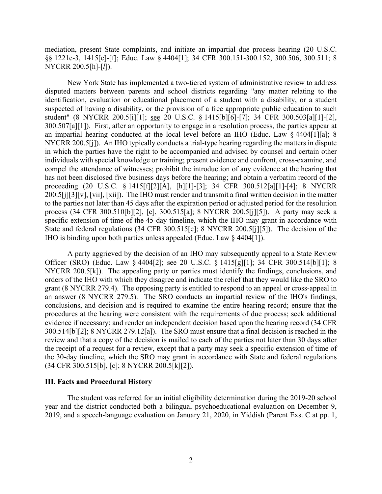mediation, present State complaints, and initiate an impartial due process hearing (20 U.S.C. §§ 1221e-3, 1415[e]-[f]; Educ. Law § 4404[1]; 34 CFR 300.151-300.152, 300.506, 300.511; 8 NYCRR 200.5[h]-[*l*]).

 disputed matters between parents and school districts regarding "any matter relating to the 300.507[a][1]). First, after an opportunity to engage in a resolution process, the parties appear at NYCRR 200.5[j]). An IHO typically conducts a trial-type hearing regarding the matters in dispute process (34 CFR 300.510[b][2], [c], 300.515[a]; 8 NYCRR 200.5[j][5]). A party may seek a IHO is binding upon both parties unless appealed (Educ. Law § 4404[1]). New York State has implemented a two-tiered system of administrative review to address identification, evaluation or educational placement of a student with a disability, or a student suspected of having a disability, or the provision of a free appropriate public education to such student" (8 NYCRR 200.5[i][1]; see 20 U.S.C. § 1415[b][6]-[7]; 34 CFR 300.503[a][1]-[2], an impartial hearing conducted at the local level before an IHO (Educ. Law § 4404[1][a]; 8 in which the parties have the right to be accompanied and advised by counsel and certain other individuals with special knowledge or training; present evidence and confront, cross-examine, and compel the attendance of witnesses; prohibit the introduction of any evidence at the hearing that has not been disclosed five business days before the hearing; and obtain a verbatim record of the proceeding (20 U.S.C. § 1415[f][2][A], [h][1]-[3]; 34 CFR 300.512[a][1]-[4]; 8 NYCRR 200.5[j][3][v], [vii], [xii]). The IHO must render and transmit a final written decision in the matter to the parties not later than 45 days after the expiration period or adjusted period for the resolution specific extension of time of the 45-day timeline, which the IHO may grant in accordance with State and federal regulations (34 CFR 300.515[c]; 8 NYCRR 200.5[j][5]). The decision of the

Officer (SRO) (Educ. Law § 4404[2]; <u>see</u> 20 U.S.C. § 1415[g][1]; 34 CFR 300.514[b][1]; 8 an answer (8 NYCRR 279.5). The SRO conducts an impartial review of the IHO's findings, review and that a copy of the decision is mailed to each of the parties not later than 30 days after the receipt of a request for a review, except that a party may seek a specific extension of time of A party aggrieved by the decision of an IHO may subsequently appeal to a State Review NYCRR 200.5[k]). The appealing party or parties must identify the findings, conclusions, and orders of the IHO with which they disagree and indicate the relief that they would like the SRO to grant (8 NYCRR 279.4). The opposing party is entitled to respond to an appeal or cross-appeal in conclusions, and decision and is required to examine the entire hearing record; ensure that the procedures at the hearing were consistent with the requirements of due process; seek additional evidence if necessary; and render an independent decision based upon the hearing record (34 CFR 300.514[b][2]; 8 NYCRR 279.12[a]). The SRO must ensure that a final decision is reached in the the 30-day timeline, which the SRO may grant in accordance with State and federal regulations (34 CFR 300.515[b], [c]; 8 NYCRR 200.5[k][2]).

#### **III. Facts and Procedural History**

 The student was referred for an initial eligibility determination during the 2019-20 school 2019, and a speech-language evaluation on January 21, 2020, in Yiddish (Parent Exs. C at pp. 1, year and the district conducted both a bilingual psychoeducational evaluation on December 9,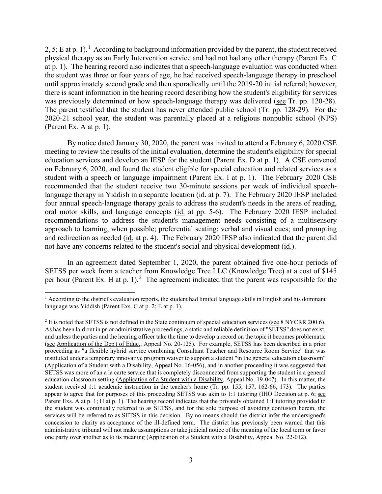2, 5; E at p. [1](#page-2-0)).<sup>1</sup> According to background information provided by the parent, the student received physical therapy as an Early Intervention service and had not had any other therapy (Parent Ex. C at p. 1). The hearing record also indicates that a speech-language evaluation was conducted when until approximately second grade and then sporadically until the 2019-20 initial referral; however, was previously determined or how speech-language therapy was delivered (see Tr. pp. 120-28). was previously determined or how speech-language therapy was delivered (see Tr. pp. 120-28). The parent testified that the student has never attended public school (Tr. pp. 128-29). For the 2020-21 school year, the student was parentally placed at a religious nonpublic school (NPS) (Parent Ex. A at p. 1). the student was three or four years of age, he had received speech-language therapy in preschool there is scant information in the hearing record describing how the student's eligibility for services

 on February 6, 2020, and found the student eligible for special education and related services as a student with a speech or language impairment (Parent Ex. I at p. 1). The February 2020 CSE By notice dated January 30, 2020, the parent was invited to attend a February 6, 2020 CSE meeting to review the results of the initial evaluation, determine the student's eligibility for special education services and develop an IESP for the student (Parent Ex. D at p. 1). A CSE convened recommended that the student receive two 30-minute sessions per week of individual speechlanguage therapy in Yiddish in a separate location (id. at p. 7). The February 2020 IESP included four annual speech-language therapy goals to address the student's needs in the areas of reading, oral motor skills, and language concepts (id. at pp. 5-6). The February 2020 IESP included recommendations to address the student's management needs consisting of a multisensory approach to learning, when possible; preferential seating; verbal and visual cues; and prompting and redirection as needed (id. at p. 4). The February 2020 IESP also indicated that the parent did not have any concerns related to the student's social and physical development (id.).

per hour (Parent Ex. H at p. 1).<sup>2</sup> The agreement indicated that the parent was responsible for the In an agreement dated September 1, 2020, the parent obtained five one-hour periods of SETSS per week from a teacher from Knowledge Tree LLC (Knowledge Tree) at a cost of \$145

<span id="page-2-0"></span> language was Yiddish (Parent Exs. C at p. 2; E at p. 1).  $<sup>1</sup>$  According to the district's evaluation reports, the student had limited language skills in English and his dominant</sup>

<span id="page-2-1"></span> $^2$  It is noted that SETSS is not defined in the State continuum of special education services (see 8 NYCRR 200.6).<br>As has been laid out in prior administrative proceedings, a static and reliable definition of "SETSS" do and unless the parties and the hearing officer take the time to develop a record on the topic it becomes problematic proceeding as "a flexible hybrid service combining Consultant Teacher and Resource Room Service" that was student received 1:1 academic instruction in the teacher's home (Tr. pp. 155, 157, 162-66, 173). The parties concession to clarity as acceptance of the ill-defined term. The district has previously been warned that this (see Application of the Dep't of Educ., Appeal No. 20-125). For example, SETSS has been described in a prior instituted under a temporary innovative program waiver to support a student "in the general education classroom" (Application of a Student with a Disability, Appeal No. 16-056), and in another proceeding it was suggested that SETSS was more of an a la carte service that is completely disconnected from supporting the student in a general education classroom setting (Application of a Student with a Disability, Appeal No. 19-047). In this matter, the appear to agree that for purposes of this proceeding SETSS was akin to 1:1 tutoring (IHO Decision at p. 6; see Parent Exs. A at p. 1; H at p. 1). The hearing record indicates that the privately obtained 1:1 tutoring provided to the student was continually referred to as SETSS, and for the sole purpose of avoiding confusion herein, the services will be referred to as SETSS in this decision. By no means should the district infer the undersigned's administrative tribunal will not make assumptions or take judicial notice of the meaning of the local term or favor one party over another as to its meaning (Application of a Student with a Disability, Appeal No. 22-012).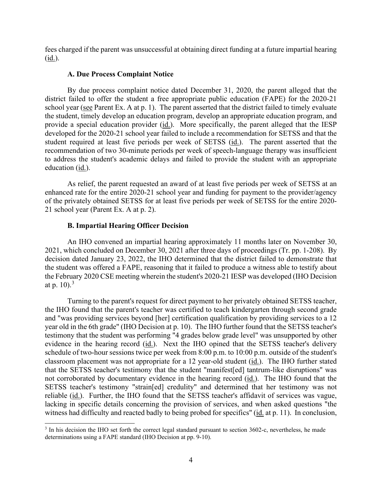fees charged if the parent was unsuccessful at obtaining direct funding at a future impartial hearing (id.).

#### **A. Due Process Complaint Notice**

By due process complaint notice dated December 31, 2020, the parent alleged that the district failed to offer the student a free appropriate public education (FAPE) for the 2020-21 school year (see Parent Ex. A at p. 1). The parent asserted that the district failed to timely evaluate the student, timely develop an education program, develop an appropriate education program, and provide a special education provider (id.). More specifically, the parent alleged that the IESP developed for the 2020-21 school year failed to include a recommendation for SETSS and that the student required at least five periods per week of SETSS (id.). The parent asserted that the recommendation of two 30-minute periods per week of speech-language therapy was insufficient to address the student's academic delays and failed to provide the student with an appropriate education (id.).

As relief, the parent requested an award of at least five periods per week of SETSS at an enhanced rate for the entire 2020-21 school year and funding for payment to the provider/agency of the privately obtained SETSS for at least five periods per week of SETSS for the entire 2020- 21 school year (Parent Ex. A at p. 2).

#### **B. Impartial Hearing Officer Decision**

 An IHO convened an impartial hearing approximately 11 months later on November 30, 2021, which concluded on December 30, 2021 after three days of proceedings (Tr. pp. 1-208). By decision dated January 23, 2022, the IHO determined that the district failed to demonstrate that the student was offered a FAPE, reasoning that it failed to produce a witness able to testify about the February 2020 CSE meeting wherein the student's 2020-21 IESP was developed (IHO Decision at p. 10).<sup>[3](#page-3-0)</sup>

 schedule of two-hour sessions twice per week from 8:00 p.m. to 10:00 p.m. outside of the student's classroom placement was not appropriate for a 12 year-old student (id.). The IHO further stated not corroborated by documentary evidence in the hearing record (*id.*). The IHO found that the reliable (id.). Further, the IHO found that the SETSS teacher's affidavit of services was vague, Turning to the parent's request for direct payment to her privately obtained SETSS teacher, the IHO found that the parent's teacher was certified to teach kindergarten through second grade and "was providing services beyond [her] certification qualification by providing services to a 12 year old in the 6th grade" (IHO Decision at p. 10). The IHO further found that the SETSS teacher's testimony that the student was performing "4 grades below grade level" was unsupported by other evidence in the hearing record (id.). Next the IHO opined that the SETSS teacher's delivery that the SETSS teacher's testimony that the student "manifest[ed] tantrum-like disruptions" was SETSS teacher's testimony "strain[ed] credulity" and determined that her testimony was not lacking in specific details concerning the provision of services, and when asked questions "the witness had difficulty and reacted badly to being probed for specifics" (id. at p. 11). In conclusion,

<span id="page-3-0"></span><sup>&</sup>lt;sup>3</sup> In his decision the IHO set forth the correct legal standard pursuant to section 3602-c, nevertheless, he made determinations using a FAPE standard (IHO Decision at pp. 9-10).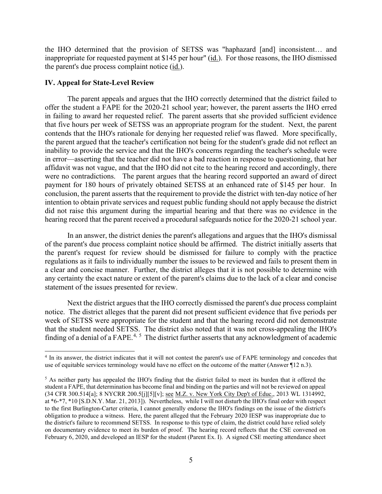inappropriate for requested payment at \$145 per hour" (id.). For those reasons, the IHO dismissed the parent's due process complaint notice (id.). the IHO determined that the provision of SETSS was "haphazard [and] inconsistent… and

#### **IV. Appeal for State-Level Review**

 the parent argued that the teacher's certification not being for the student's grade did not reflect an inability to provide the service and that the IHO's concerns regarding the teacher's schedule were affidavit was not vague, and that the IHO did not cite to the hearing record and accordingly, there were no contradictions. The parent argues that the hearing record supported an award of direct payment for 180 hours of privately obtained SETSS at an enhanced rate of \$145 per hour. In did not raise this argument during the impartial hearing and that there was no evidence in the The parent appeals and argues that the IHO correctly determined that the district failed to offer the student a FAPE for the 2020-21 school year; however, the parent asserts the IHO erred in failing to award her requested relief. The parent asserts that she provided sufficient evidence that five hours per week of SETSS was an appropriate program for the student. Next, the parent contends that the IHO's rationale for denying her requested relief was flawed. More specifically, in error—asserting that the teacher did not have a bad reaction in response to questioning, that her conclusion, the parent asserts that the requirement to provide the district with ten-day notice of her intention to obtain private services and request public funding should not apply because the district hearing record that the parent received a procedural safeguards notice for the 2020-21 school year.

 of the parent's due process complaint notice should be affirmed. The district initially asserts that a clear and concise manner. Further, the district alleges that it is not possible to determine with In an answer, the district denies the parent's allegations and argues that the IHO's dismissal the parent's request for review should be dismissed for failure to comply with the practice regulations as it fails to individually number the issues to be reviewed and fails to present them in any certainty the exact nature or extent of the parent's claims due to the lack of a clear and concise statement of the issues presented for review.

 notice. The district alleges that the parent did not present sufficient evidence that five periods per that the student needed SETSS. The district also noted that it was not cross-appealing the IHO's finding of a denial of a FAPE.<sup>[4,](#page-4-0) 5</sup> The district further asserts that any acknowledgment of academic Next the district argues that the IHO correctly dismissed the parent's due process complaint week of SETSS were appropriate for the student and that the hearing record did not demonstrate

<span id="page-4-0"></span><sup>4</sup> In its answer, the district indicates that it will not contest the parent's use of FAPE terminology and concedes that use of equitable services terminology would have no effect on the outcome of the matter (Answer ¶12 n.3).

<span id="page-4-1"></span> at \*6-\*7, \*10 [S.D.N.Y. Mar. 21, 2013]). Nevertheless, while I will not disturb the IHO's final order with respect obligation to produce a witness. Here, the parent alleged that the February 2020 IESP was inappropriate due to on documentary evidence to meet its burden of proof. The hearing record reflects that the CSE convened on <sup>5</sup> As neither party has appealed the IHO's finding that the district failed to meet its burden that it offered the student a FAPE, that determination has become final and binding on the parties and will not be reviewed on appeal (34 CFR 300.514[a]; 8 NYCRR 200.5[j][5][v]; see M.Z. v. New York City Dep't of Educ., 2013 WL 1314992, to the first Burlington-Carter criteria, I cannot generally endorse the IHO's findings on the issue of the district's the district's failure to recommend SETSS. In response to this type of claim, the district could have relied solely February 6, 2020, and developed an IESP for the student (Parent Ex. I). A signed CSE meeting attendance sheet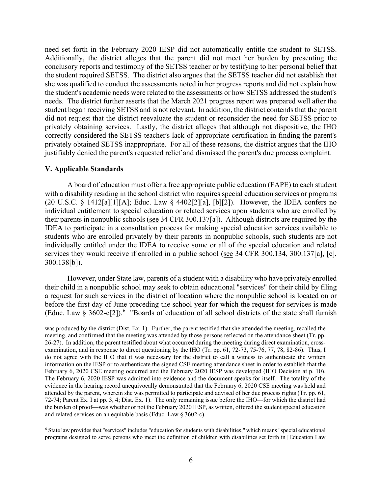need set forth in the February 2020 IESP did not automatically entitle the student to SETSS. the student required SETSS. The district also argues that the SETSS teacher did not establish that the student's academic needs were related to the assessments or how SETSS addressed the student's needs. The district further asserts that the March 2021 progress report was prepared well after the privately obtaining services. Lastly, the district alleges that although not dispositive, the IHO correctly considered the SETSS teacher's lack of appropriate certification in finding the parent's privately obtained SETSS inappropriate. For all of these reasons, the district argues that the IHO justifiably denied the parent's requested relief and dismissed the parent's due process complaint. Additionally, the district alleges that the parent did not meet her burden by presenting the conclusory reports and testimony of the SETSS teacher or by testifying to her personal belief that she was qualified to conduct the assessments noted in her progress reports and did not explain how student began receiving SETSS and is not relevant. In addition, the district contends that the parent did not request that the district reevaluate the student or reconsider the need for SETSS prior to

#### **V. Applicable Standards**

 A board of education must offer a free appropriate public education (FAPE) to each student IDEA to participate in a consultation process for making special education services available to with a disability residing in the school district who requires special education services or programs (20 U.S.C. § 1412[a][1][A]; Educ. Law § 4402[2][a], [b][2]). However, the IDEA confers no individual entitlement to special education or related services upon students who are enrolled by their parents in nonpublic schools (see 34 CFR 300.137[a]). Although districts are required by the students who are enrolled privately by their parents in nonpublic schools, such students are not individually entitled under the IDEA to receive some or all of the special education and related services they would receive if enrolled in a public school (see 34 CFR 300.134, 300.137[a], [c], 300.138[b]).

(Educ. Law § 3[6](#page-5-0)02-c[2]).<sup>6</sup> "Boards of education of all school districts of the state shall furnish However, under State law, parents of a student with a disability who have privately enrolled their child in a nonpublic school may seek to obtain educational "services" for their child by filing a request for such services in the district of location where the nonpublic school is located on or before the first day of June preceding the school year for which the request for services is made

 meeting, and confirmed that the meeting was attended by those persons reflected on the attendance sheet (Tr. pp. do not agree with the IHO that it was necessary for the district to call a witness to authenticate the written February 6, 2020 CSE meeting occurred and the February 2020 IESP was developed (IHO Decision at p. 10). attended by the parent, wherein she was permitted to participate and advised of her due process rights (Tr. pp. 61, 72-74; Parent Ex. I at pp. 3, 4; Dist. Ex. 1). The only remaining issue before the IHO—for which the district had and related services on an equitable basis (Educ. Law § 3602-c). was produced by the district (Dist. Ex. 1). Further, the parent testified that she attended the meeting, recalled the 26-27). In addition, the parent testified about what occurred during the meeting during direct examination, crossexamination, and in response to direct questioning by the IHO (Tr. pp. 61, 72-73, 75-76, 77, 78, 82-86). Thus, I information on the IESP or to authenticate the signed CSE meeting attendance sheet in order to establish that the The February 6, 2020 IESP was admitted into evidence and the document speaks for itself. The totality of the evidence in the hearing record unequivocally demonstrated that the February 6, 2020 CSE meeting was held and the burden of proof—was whether or not the February 2020 IESP, as written, offered the student special education

<span id="page-5-0"></span> $6$  State law provides that "services" includes "education for students with disabilities," which means "special educational programs designed to serve persons who meet the definition of children with disabilities set forth in [Education Law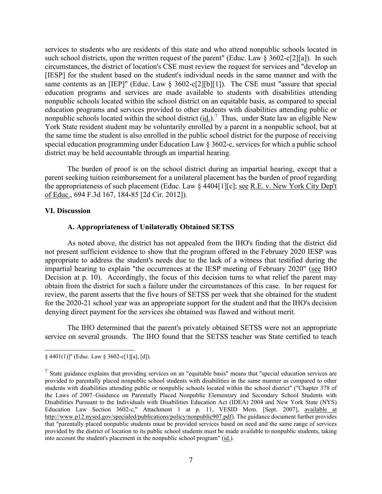such school districts, upon the written request of the parent" (Educ. Law § 3602-c[2][a]). In such circumstances, the district of location's CSE must review the request for services and "develop an nonpublic schools located within the school district  $(id.)$ .<sup>7</sup> Thus, under State law an eligible New services to students who are residents of this state and who attend nonpublic schools located in [IESP] for the student based on the student's individual needs in the same manner and with the same contents as an [IEP]" (Educ. Law § 3602-c[2][b][1]). The CSE must "assure that special education programs and services are made available to students with disabilities attending nonpublic schools located within the school district on an equitable basis, as compared to special education programs and services provided to other students with disabilities attending public or York State resident student may be voluntarily enrolled by a parent in a nonpublic school, but at the same time the student is also enrolled in the public school district for the purpose of receiving special education programming under Education Law § 3602-c, services for which a public school district may be held accountable through an impartial hearing.

The burden of proof is on the school district during an impartial hearing, except that a parent seeking tuition reimbursement for a unilateral placement has the burden of proof regarding the appropriateness of such placement (Educ. Law § 4404[1][c]; see R.E. v. New York City Dep't of Educ., 694 F.3d 167, 184-85 [2d Cir. 2012]).

#### **VI. Discussion**

#### **A. Appropriateness of Unilaterally Obtained SETSS**

 As noted above, the district has not appealed from the IHO's finding that the district did appropriate to address the student's needs due to the lack of a witness that testified during the impartial hearing to explain "the occurrences at the IESP meeting of February 2020" (see IHO Decision at p. 10). Accordingly, the focus of this decision turns to what relief the parent may review, the parent asserts that the five hours of SETSS per week that she obtained for the student for the 2020-21 school year was an appropriate support for the student and that the IHO's decision denying direct payment for the services she obtained was flawed and without merit. not present sufficient evidence to show that the program offered in the February 2020 IESP was obtain from the district for such a failure under the circumstances of this case. In her request for

The IHO determined that the parent's privately obtained SETSS were not an appropriate service on several grounds. The IHO found that the SETSS teacher was State certified to teach

<sup>§ 4401(1)]&</sup>quot; (Educ. Law § 3602-c[1][a], [d]).

<span id="page-6-0"></span>Education Law Section 3602-c," Attachment 1 at p. 11, VESID Mem. [Sept. 2007], available at  $<sup>7</sup>$  State guidance explains that providing services on an "equitable basis" means that "special education services are</sup> provided to parentally placed nonpublic school students with disabilities in the same manner as compared to other students with disabilities attending public or nonpublic schools located within the school district" ("Chapter 378 of the Laws of 2007–Guidance on Parentally Placed Nonpublic Elementary and Secondary School Students with Disabilities Pursuant to the Individuals with Disabilities Education Act (IDEA) 2004 and New York State (NYS) [http://www.p12.nysed.gov/specialed/publications/policy/nonpublic907.pdf\)](http://www.p12.nysed.gov/specialed/publications/policy/nonpublic907.pdf). The guidance document further provides that "parentally placed nonpublic students must be provided services based on need and the same range of services provided by the district of location to its public school students must be made available to nonpublic students, taking into account the student's placement in the nonpublic school program" (id.).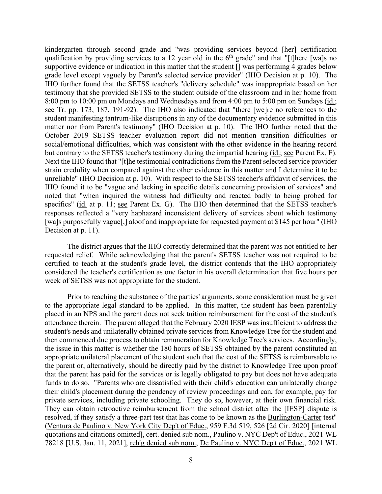8:00 pm to 10:00 pm on Mondays and Wednesdays and from 4:00 pm to 5:00 pm on Sundays (id.; see Tr. pp. 173, 187, 191-92). The IHO also indicated that "there [we]re no references to the matter nor from Parent's testimony" (IHO Decision at p. 10). The IHO further noted that the specifics" (id. at p. 11; see Parent Ex. G). The IHO then determined that the SETSS teacher's kindergarten through second grade and "was providing services beyond [her] certification qualification by providing services to a 12 year old in the  $6<sup>th</sup>$  grade" and that "[t]here [wa]s no supportive evidence or indication in this matter that the student [] was performing 4 grades below grade level except vaguely by Parent's selected service provider" (IHO Decision at p. 10). The IHO further found that the SETSS teacher's "delivery schedule" was inappropriate based on her testimony that she provided SETSS to the student outside of the classroom and in her home from student manifesting tantrum-like disruptions in any of the documentary evidence submitted in this October 2019 SETSS teacher evaluation report did not mention transition difficulties or social/emotional difficulties, which was consistent with the other evidence in the hearing record but contrary to the SETSS teacher's testimony during the impartial hearing (id.; see Parent Ex. F). Next the IHO found that "[t]he testimonial contradictions from the Parent selected service provider strain credulity when compared against the other evidence in this matter and I determine it to be unreliable" (IHO Decision at p. 10). With respect to the SETSS teacher's affidavit of services, the IHO found it to be "vague and lacking in specific details concerning provision of services" and noted that "when inquired the witness had difficulty and reacted badly to being probed for responses reflected a "very haphazard inconsistent delivery of services about which testimony [wa]s purposefully vague[,] aloof and inappropriate for requested payment at \$145 per hour" (IHO Decision at p. 11).

 considered the teacher's certification as one factor in his overall determination that five hours per week of SETSS was not appropriate for the student. The district argues that the IHO correctly determined that the parent was not entitled to her requested relief. While acknowledging that the parent's SETSS teacher was not required to be certified to teach at the student's grade level, the district contends that the IHO appropriately

 student's needs and unilaterally obtained private services from Knowledge Tree for the student and that the parent has paid for the services or is legally obligated to pay but does not have adequate Prior to reaching the substance of the parties' arguments, some consideration must be given to the appropriate legal standard to be applied. In this matter, the student has been parentally placed in an NPS and the parent does not seek tuition reimbursement for the cost of the student's attendance therein. The parent alleged that the February 2020 IESP was insufficient to address the then commenced due process to obtain remuneration for Knowledge Tree's services. Accordingly, the issue in this matter is whether the 180 hours of SETSS obtained by the parent constituted an appropriate unilateral placement of the student such that the cost of the SETSS is reimbursable to the parent or, alternatively, should be directly paid by the district to Knowledge Tree upon proof funds to do so. "Parents who are dissatisfied with their child's education can unilaterally change their child's placement during the pendency of review proceedings and can, for example, pay for private services, including private schooling. They do so, however, at their own financial risk. They can obtain retroactive reimbursement from the school district after the [IESP] dispute is resolved, if they satisfy a three-part test that has come to be known as the Burlington-Carter test" (Ventura de Paulino v. New York City Dep't of Educ., 959 F.3d 519, 526 [2d Cir. 2020] [internal quotations and citations omitted], cert. denied sub nom., Paulino v. NYC Dep't of Educ., 2021 WL 78218 [U.S. Jan. 11, 2021], reh'g denied sub nom., De Paulino v. NYC Dep't of Educ., 2021 WL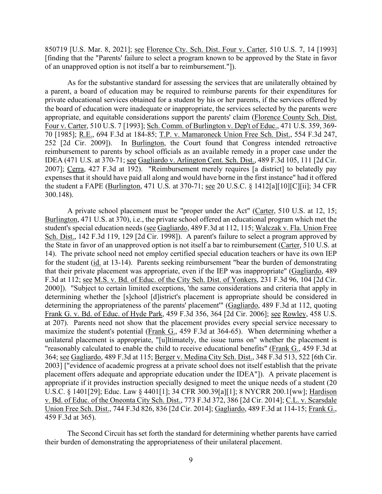850719 [U.S. Mar. 8, 2021]; see Florence Cty. Sch. Dist. Four v. Carter, 510 U.S. 7, 14 [1993] [finding that the "Parents' failure to select a program known to be approved by the State in favor of an unapproved option is not itself a bar to reimbursement."]).

 a parent, a board of education may be required to reimburse parents for their expenditures for reimbursement to parents by school officials as an available remedy in a proper case under the IDEA (471 U.S. at 370-71; see Gagliardo v. Arlington Cent. Sch. Dist., 489 F.3d 105, 111 [2d Cir. the student a FAPE (Burlington, 471 U.S. at 370-71; <u>see</u> 20 U.S.C. § 1412[a][10][C][ii]; 34 CFR As for the substantive standard for assessing the services that are unilaterally obtained by private educational services obtained for a student by his or her parents, if the services offered by the board of education were inadequate or inappropriate, the services selected by the parents were appropriate, and equitable considerations support the parents' claim (Florence County Sch. Dist. Four v. Carter, 510 U.S. 7 [1993]; Sch. Comm. of Burlington v. Dep't of Educ., 471 U.S. 359, 369- 70 [1985]; R.E., 694 F.3d at 184-85; T.P. v. Mamaroneck Union Free Sch. Dist., 554 F.3d 247, 252 [2d Cir. 2009]). In Burlington, the Court found that Congress intended retroactive 2007]; Cerra, 427 F.3d at 192). "Reimbursement merely requires [a district] to belatedly pay expenses that it should have paid all along and would have borne in the first instance" had it offered 300.148).

that their private placement was appropriate, even if the IEP was inappropriate" (Gagliardo, 489 F.3d at 112; <u>see M.S. v. Bd. of Educ. of the City Sch. Dist. of Yonkers</u>, 231 F.3d 96, 104 [2d Cir. 364; <u>see Gagliardo</u>, 489 F.3d at 115; <u>Berger v. Medina City Sch. Dist.</u>, 348 F.3d 513, 522 [6th Cir. placement offers adequate and appropriate education under the IDEA"]). A private placement is U.S.C. § 1401[29]; Educ. Law § 4401[1]; 34 CFR 300.39[a][1]; 8 NYCRR 200.1[ww]; Hardison A private school placement must be "proper under the Act" (Carter, 510 U.S. at 12, 15; Burlington, 471 U.S. at 370), i.e., the private school offered an educational program which met the student's special education needs (see Gagliardo, 489 F.3d at 112, 115; Walczak v. Fla. Union Free Sch. Dist., 142 F.3d 119, 129 [2d Cir. 1998]). A parent's failure to select a program approved by the State in favor of an unapproved option is not itself a bar to reimbursement (Carter, 510 U.S. at 14). The private school need not employ certified special education teachers or have its own IEP for the student (id. at 13-14). Parents seeking reimbursement "bear the burden of demonstrating 2000]). "Subject to certain limited exceptions, 'the same considerations and criteria that apply in determining whether the [s]chool [d]istrict's placement is appropriate should be considered in determining the appropriateness of the parents' placement'" (Gagliardo, 489 F.3d at 112, quoting Frank G. v. Bd. of Educ. of Hyde Park, 459 F.3d 356, 364 [2d Cir. 2006]; see Rowley, 458 U.S. at 207). Parents need not show that the placement provides every special service necessary to maximize the student's potential (Frank G., 459 F.3d at 364-65). When determining whether a unilateral placement is appropriate, "[u]ltimately, the issue turns on" whether the placement is "reasonably calculated to enable the child to receive educational benefits" (Frank G., 459 F.3d at 2003] ["evidence of academic progress at a private school does not itself establish that the private appropriate if it provides instruction specially designed to meet the unique needs of a student (20 v. Bd. of Educ. of the Oneonta City Sch. Dist., 773 F.3d 372, 386 [2d Cir. 2014]; C.L. v. Scarsdale Union Free Sch. Dist., 744 F.3d 826, 836 [2d Cir. 2014]; Gagliardo, 489 F.3d at 114-15; Frank G., 459 F.3d at 365).

The Second Circuit has set forth the standard for determining whether parents have carried their burden of demonstrating the appropriateness of their unilateral placement.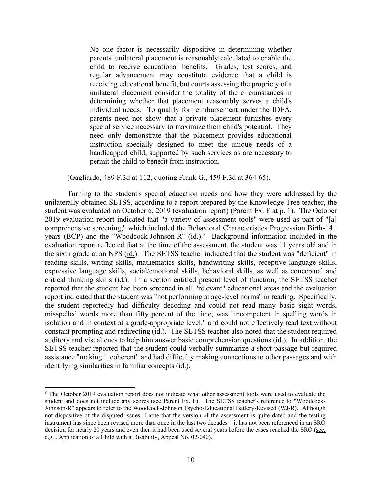determining whether that placement reasonably serves a child's individual needs. To qualify for reimbursement under the IDEA, instruction specially designed to meet the unique needs of a No one factor is necessarily dispositive in determining whether parents' unilateral placement is reasonably calculated to enable the child to receive educational benefits. Grades, test scores, and regular advancement may constitute evidence that a child is receiving educational benefit, but courts assessing the propriety of a unilateral placement consider the totality of the circumstances in parents need not show that a private placement furnishes every special service necessary to maximize their child's potential. They need only demonstrate that the placement provides educational handicapped child, supported by such services as are necessary to permit the child to benefit from instruction.

(Gagliardo, 489 F.3d at 112, quoting Frank G., 459 F.3d at 364-65).

 student was evaluated on October 6, 2019 (evaluation report) (Parent Ex. F at p. 1). The October comprehensive screening," which included the Behavioral Characteristics Progression Birth-14+ years (BCP) and the "Woodcock-Johnson-R" (id.).<sup>8</sup> Background information included in the expressive language skills, social/emotional skills, behavioral skills, as well as conceptual and SETSS teacher reported that the student could verbally summarize a short passage but required identifying similarities in familiar concepts (id.). Turning to the student's special education needs and how they were addressed by the unilaterally obtained SETSS, according to a report prepared by the Knowledge Tree teacher, the 2019 evaluation report indicated that "a variety of assessment tools" were used as part of "[a] evaluation report reflected that at the time of the assessment, the student was 11 years old and in the sixth grade at an NPS (id.). The SETSS teacher indicated that the student was "deficient" in reading skills, writing skills, mathematics skills, handwriting skills, receptive language skills, critical thinking skills (id.). In a section entitled present level of function, the SETSS teacher reported that the student had been screened in all "relevant" educational areas and the evaluation report indicated that the student was "not performing at age-level norms" in reading. Specifically, the student reportedly had difficulty decoding and could not read many basic sight words, misspelled words more than fifty percent of the time, was "incompetent in spelling words in isolation and in context at a grade-appropriate level," and could not effectively read text without constant prompting and redirecting (id.). The SETSS teacher also noted that the student required auditory and visual cues to help him answer basic comprehension questions (id.). In addition, the assistance "making it coherent" and had difficulty making connections to other passages and with

<span id="page-9-0"></span><sup>&</sup>lt;sup>8</sup> The October 2019 evaluation report does not indicate what other assessment tools were used to evaluate the student and does not include any scores (see Parent Ex. F). The SETSS teacher's reference to "Woodcock- Johnson-R" appears to refer to the Woodcock-Johnson Psycho-Educational Battery-Revised (WJ-R). Although not dispositive of the disputed issues, I note that the version of the assessment is quite dated and the testing decision for nearly 20 years and even then it had been used several years before the cases reached the SRO (see, e.g. . Application of a Child with a Disability, Appeal No. 02-040). instrument has since been revised more than once in the last two decades—it has not been referenced in an SRO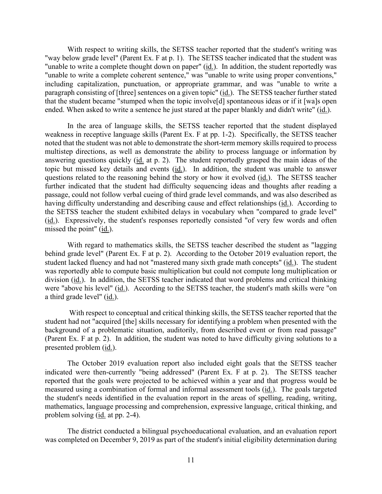"way below grade level" (Parent Ex. F at p. 1). The SETSS teacher indicated that the student was With respect to writing skills, the SETSS teacher reported that the student's writing was "unable to write a complete thought down on paper" (id.). In addition, the student reportedly was "unable to write a complete coherent sentence," was "unable to write using proper conventions," including capitalization, punctuation, or appropriate grammar, and was "unable to write a paragraph consisting of [three] sentences on a given topic" (id.). The SETSS teacher further stated that the student became "stumped when the topic involve[d] spontaneous ideas or if it [wa]s open ended. When asked to write a sentence he just stared at the paper blankly and didn't write" (id.).

 multistep directions, as well as demonstrate the ability to process language or information by answering questions quickly (id. at p. 2). The student reportedly grasped the main ideas of the passage, could not follow verbal cueing of third grade level commands, and was also described as having difficulty understanding and describing cause and effect relationships (id.). According to (id.). Expressively, the student's responses reportedly consisted "of very few words and often In the area of language skills, the SETSS teacher reported that the student displayed weakness in receptive language skills (Parent Ex. F at pp. 1-2). Specifically, the SETSS teacher noted that the student was not able to demonstrate the short-term memory skills required to process topic but missed key details and events (id.). In addition, the student was unable to answer questions related to the reasoning behind the story or how it evolved (id.). The SETSS teacher further indicated that the student had difficulty sequencing ideas and thoughts after reading a the SETSS teacher the student exhibited delays in vocabulary when "compared to grade level" missed the point" (id.).

With regard to mathematics skills, the SETSS teacher described the student as "lagging behind grade level" (Parent Ex. F at p. 2). According to the October 2019 evaluation report, the student lacked fluency and had not "mastered many sixth grade math concepts" (id.). The student was reportedly able to compute basic multiplication but could not compute long multiplication or division (id.). In addition, the SETSS teacher indicated that word problems and critical thinking were "above his level" (id.). According to the SETSS teacher, the student's math skills were "on a third grade level" (id.).

With respect to conceptual and critical thinking skills, the SETSS teacher reported that the student had not "acquired [the] skills necessary for identifying a problem when presented with the background of a problematic situation, auditorily, from described event or from read passage" (Parent Ex. F at p. 2). In addition, the student was noted to have difficulty giving solutions to a presented problem (id.).

problem solving (*id.* at pp. 2-4). The October 2019 evaluation report also included eight goals that the SETSS teacher indicated were then-currently "being addressed" (Parent Ex. F at p. 2). The SETSS teacher reported that the goals were projected to be achieved within a year and that progress would be measured using a combination of formal and informal assessment tools (id.). The goals targeted the student's needs identified in the evaluation report in the areas of spelling, reading, writing, mathematics, language processing and comprehension, expressive language, critical thinking, and

The district conducted a bilingual psychoeducational evaluation, and an evaluation report was completed on December 9, 2019 as part of the student's initial eligibility determination during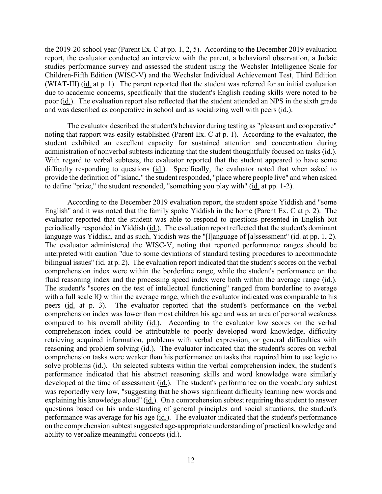the 2019-20 school year (Parent Ex. C at pp. 1, 2, 5). According to the December 2019 evaluation studies performance survey and assessed the student using the Wechsler Intelligence Scale for Children-Fifth Edition (WISC-V) and the Wechsler Individual Achievement Test, Third Edition (WIAT-III) (*id.* at p. 1). The parent reported that the student was referred for an initial evaluation report, the evaluator conducted an interview with the parent, a behavioral observation, a Judaic due to academic concerns, specifically that the student's English reading skills were noted to be poor (id.). The evaluation report also reflected that the student attended an NPS in the sixth grade and was described as cooperative in school and as socializing well with peers (id.).

administration of nonverbal subtests indicating that the student thoughtfully focused on tasks (id.). to define "prize," the student responded, "something you play with" (*id.* at pp. 1-2). The evaluator described the student's behavior during testing as "pleasant and cooperative" noting that rapport was easily established (Parent Ex. C at p. 1). According to the evaluator, the student exhibited an excellent capacity for sustained attention and concentration during With regard to verbal subtests, the evaluator reported that the student appeared to have some difficulty responding to questions (id.). Specifically, the evaluator noted that when asked to provide the definition of "island," the student responded, "place where people live" and when asked

language was Yiddish, and as such, Yiddish was the "[l]anguage of [a]ssessment" (id. at pp. 1, 2). bilingual issues" (id. at p. 2). The evaluation report indicated that the student's scores on the verbal fluid reasoning index and the processing speed index were both within the average range (id.). peers (id. at p. 3). The evaluator reported that the student's performance on the verbal comprehension tasks were weaker than his performance on tasks that required him to use logic to solve problems (id.). On selected subtests within the verbal comprehension index, the student's explaining his knowledge aloud" (id.). On a comprehension subtest requiring the student to answer According to the December 2019 evaluation report, the student spoke Yiddish and "some English" and it was noted that the family spoke Yiddish in the home (Parent Ex. C at p. 2). The evaluator reported that the student was able to respond to questions presented in English but periodically responded in Yiddish (id.). The evaluation report reflected that the student's dominant The evaluator administered the WISC-V, noting that reported performance ranges should be interpreted with caution "due to some deviations of standard testing procedures to accommodate comprehension index were within the borderline range, while the student's performance on the The student's "scores on the test of intellectual functioning" ranged from borderline to average with a full scale IQ within the average range, which the evaluator indicated was comparable to his comprehension index was lower than most children his age and was an area of personal weakness compared to his overall ability (id.). According to the evaluator low scores on the verbal comprehension index could be attributable to poorly developed word knowledge, difficulty retrieving acquired information, problems with verbal expression, or general difficulties with reasoning and problem solving (id.). The evaluator indicated that the student's scores on verbal performance indicated that his abstract reasoning skills and word knowledge were similarly developed at the time of assessment (id.). The student's performance on the vocabulary subtest was reportedly very low, "suggesting that he shows significant difficulty learning new words and questions based on his understanding of general principles and social situations, the student's performance was average for his age (id.). The evaluator indicated that the student's performance on the comprehension subtest suggested age-appropriate understanding of practical knowledge and ability to verbalize meaningful concepts (id.).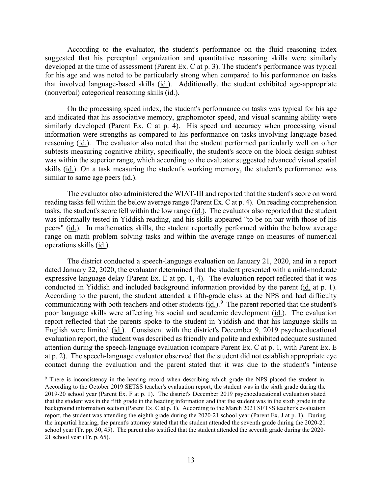developed at the time of assessment (Parent Ex. C at p. 3). The student's performance was typical that involved language-based skills (id.). Additionally, the student exhibited age-appropriate According to the evaluator, the student's performance on the fluid reasoning index suggested that his perceptual organization and quantitative reasoning skills were similarly for his age and was noted to be particularly strong when compared to his performance on tasks (nonverbal) categorical reasoning skills (id.).

 On the processing speed index, the student's performance on tasks was typical for his age similarly developed (Parent Ex. C at p. 4). His speed and accuracy when processing visual reasoning (id.). The evaluator also noted that the student performed particularly well on other and indicated that his associative memory, graphomotor speed, and visual scanning ability were information were strengths as compared to his performance on tasks involving language-based subtests measuring cognitive ability, specifically, the student's score on the block design subtest was within the superior range, which according to the evaluator suggested advanced visual spatial skills (id.). On a task measuring the student's working memory, the student's performance was similar to same age peers (id.).

 reading tasks fell within the below average range (Parent Ex. C at p. 4). On reading comprehension peers" (*id.*). In mathematics skills, the student reportedly performed within the below average range on math problem solving tasks and within the average range on measures of numerical The evaluator also administered the WIAT-III and reported that the student's score on word tasks, the student's score fell within the low range (id.). The evaluator also reported that the student was informally tested in Yiddish reading, and his skills appeared "to be on par with those of his operations skills (id.).

conducted in Yiddish and included background information provided by the parent (*id.* at p. 1). communicating with both teachers and other students  $(id.)$ <sup>9</sup> The parent reported that the student's at p. 2). The speech-language evaluator observed that the student did not establish appropriate eye The district conducted a speech-language evaluation on January 21, 2020, and in a report dated January 22, 2020, the evaluator determined that the student presented with a mild-moderate expressive language delay (Parent Ex. E at pp. 1, 4). The evaluation report reflected that it was According to the parent, the student attended a fifth-grade class at the NPS and had difficulty poor language skills were affecting his social and academic development (id.). The evaluation report reflected that the parents spoke to the student in Yiddish and that his language skills in English were limited (id.). Consistent with the district's December 9, 2019 psychoeducational evaluation report, the student was described as friendly and polite and exhibited adequate sustained attention during the speech-language evaluation (compare Parent Ex. C at p. 1, with Parent Ex. E contact during the evaluation and the parent stated that it was due to the student's "intense

<span id="page-12-0"></span> 2019-20 school year (Parent Ex. F at p. 1). The district's December 2019 psychoeducational evaluation stated background information section (Parent Ex. C at p. 1). According to the March 2021 SETSS teacher's evaluation report, the student was attending the eighth grade during the 2020-21 school year (Parent Ex. J at p. 1). During school year (Tr. pp. 30, 45). The parent also testified that the student attended the seventh grade during the 2020- <sup>9</sup> There is inconsistency in the hearing record when describing which grade the NPS placed the student in. According to the October 2019 SETSS teacher's evaluation report, the student was in the sixth grade during the that the student was in the fifth grade in the heading information and that the student was in the sixth grade in the the impartial hearing, the parent's attorney stated that the student attended the seventh grade during the 2020-21 21 school year (Tr. p. 65).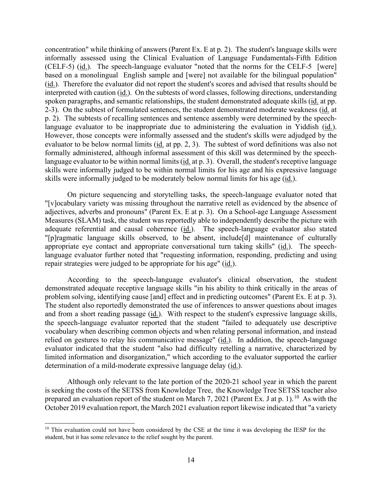(CELF-5) (id.). The speech-language evaluator "noted that the norms for the CELF-5 [were] (id.). Therefore the evaluator did not report the student's scores and advised that results should be interpreted with caution (*id.*). On the subtests of word classes, following directions, understanding language evaluator to be inappropriate due to administering the evaluation in Yiddish (id.). skills were informally judged to be moderately below normal limits for his age (id.). concentration" while thinking of answers (Parent Ex. E at p. 2). The student's language skills were informally assessed using the Clinical Evaluation of Language Fundamentals-Fifth Edition based on a monolingual English sample and [were] not available for the bilingual population" spoken paragraphs, and semantic relationships, the student demonstrated adequate skills (id. at pp. 2-3). On the subtest of formulated sentences, the student demonstrated moderate weakness (id. at p. 2). The subtests of recalling sentences and sentence assembly were determined by the speech-However, those concepts were informally assessed and the student's skills were adjudged by the evaluator to be below normal limits (id. at pp. 2, 3). The subtest of word definitions was also not formally administered, although informal assessment of this skill was determined by the speechlanguage evaluator to be within normal limits (id. at p. 3). Overall, the student's receptive language skills were informally judged to be within normal limits for his age and his expressive language

 adjectives, adverbs and pronouns" (Parent Ex. E at p. 3). On a School-age Language Assessment adequate referential and causal coherence (id.). The speech-language evaluator also stated appropriate eye contact and appropriate conversational turn taking skills" (id.). The speech-On picture sequencing and storytelling tasks, the speech-language evaluator noted that "[v]ocabulary variety was missing throughout the narrative retell as evidenced by the absence of Measures (SLAM) task, the student was reportedly able to independently describe the picture with "[p]ragmatic language skills observed, to be absent, include[d] maintenance of culturally language evaluator further noted that "requesting information, responding, predicting and using repair strategies were judged to be appropriate for his age" (id.).

and from a short reading passage (id.). With respect to the student's expressive language skills, the speech-language evaluator reported that the student "failed to adequately use descriptive relied on gestures to relay his communicative message" (*id.*). In addition, the speech-language According to the speech-language evaluator's clinical observation, the student demonstrated adequate receptive language skills "in his ability to think critically in the areas of problem solving, identifying cause [and] effect and in predicting outcomes" (Parent Ex. E at p. 3). The student also reportedly demonstrated the use of inferences to answer questions about images vocabulary when describing common objects and when relating personal information, and instead evaluator indicated that the student "also had difficulty retelling a narrative, characterized by limited information and disorganization," which according to the evaluator supported the earlier determination of a mild-moderate expressive language delay (id.).

 is seeking the costs of the SETSS from Knowledge Tree, the Knowledge Tree SETSS teacher also prepared an evaluation report of the student on March 7, 2021 (Parent Ex. J at p. 1).<sup>10</sup> As with the Although only relevant to the late portion of the 2020-21 school year in which the parent October 2019 evaluation report, the March 2021 evaluation report likewise indicated that "a variety

<span id="page-13-0"></span><sup>&</sup>lt;sup>10</sup> This evaluation could not have been considered by the CSE at the time it was developing the IESP for the student, but it has some relevance to the relief sought by the parent.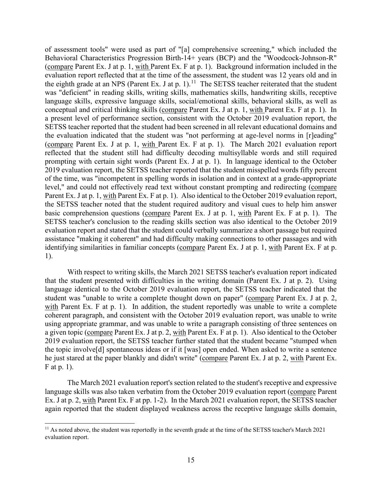the eighth grade at an NPS (Parent Ex. J at p. 1).<sup>11</sup> The SETSS teacher reiterated that the student conceptual and critical thinking skills (compare Parent Ex. J at p. 1, with Parent Ex. F at p. 1). In a present level of performance section, consistent with the October 2019 evaluation report, the the SETSS teacher noted that the student required auditory and visual cues to help him answer of assessment tools" were used as part of "[a] comprehensive screening," which included the Behavioral Characteristics Progression Birth-14+ years (BCP) and the "Woodcock-Johnson-R" (compare Parent Ex. J at p. 1, with Parent Ex. F at p. 1). Background information included in the evaluation report reflected that at the time of the assessment, the student was 12 years old and in was "deficient" in reading skills, writing skills, mathematics skills, handwriting skills, receptive language skills, expressive language skills, social/emotional skills, behavioral skills, as well as SETSS teacher reported that the student had been screened in all relevant educational domains and the evaluation indicated that the student was "not performing at age-level norms in [r]eading" (compare Parent Ex. J at p. 1, with Parent Ex. F at p. 1). The March 2021 evaluation report reflected that the student still had difficulty decoding multisyllable words and still required prompting with certain sight words (Parent Ex. J at p. 1). In language identical to the October 2019 evaluation report, the SETSS teacher reported that the student misspelled words fifty percent of the time, was "incompetent in spelling words in isolation and in context at a grade-appropriate level," and could not effectively read text without constant prompting and redirecting (compare Parent Ex. J at p. 1, with Parent Ex. F at p. 1). Also identical to the October 2019 evaluation report, basic comprehension questions (compare Parent Ex. J at p. 1, with Parent Ex. F at p. 1). The SETSS teacher's conclusion to the reading skills section was also identical to the October 2019 evaluation report and stated that the student could verbally summarize a short passage but required assistance "making it coherent" and had difficulty making connections to other passages and with identifying similarities in familiar concepts (compare Parent Ex. J at p. 1, with Parent Ex. F at p. 1).

 the topic involve[d] spontaneous ideas or if it [was] open ended. When asked to write a sentence With respect to writing skills, the March 2021 SETSS teacher's evaluation report indicated that the student presented with difficulties in the writing domain (Parent Ex. J at p. 2). Using language identical to the October 2019 evaluation report, the SETSS teacher indicated that the student was "unable to write a complete thought down on paper" (compare Parent Ex. J at p. 2, with Parent Ex. F at p. 1). In addition, the student reportedly was unable to write a complete coherent paragraph, and consistent with the October 2019 evaluation report, was unable to write using appropriate grammar, and was unable to write a paragraph consisting of three sentences on a given topic (compare Parent Ex. J at p. 2, with Parent Ex. F at p. 1). Also identical to the October 2019 evaluation report, the SETSS teacher further stated that the student became "stumped when he just stared at the paper blankly and didn't write" (compare Parent Ex. J at p. 2, with Parent Ex. F at p. 1).

Ex. J at p. 2, with Parent Ex. F at pp. 1-2). In the March 2021 evaluation report, the SETSS teacher The March 2021 evaluation report's section related to the student's receptive and expressive language skills was also taken verbatim from the October 2019 evaluation report (compare Parent again reported that the student displayed weakness across the receptive language skills domain,

<span id="page-14-0"></span><sup>&</sup>lt;sup>11</sup> As noted above, the student was reportedly in the seventh grade at the time of the SETSS teacher's March 2021 evaluation report.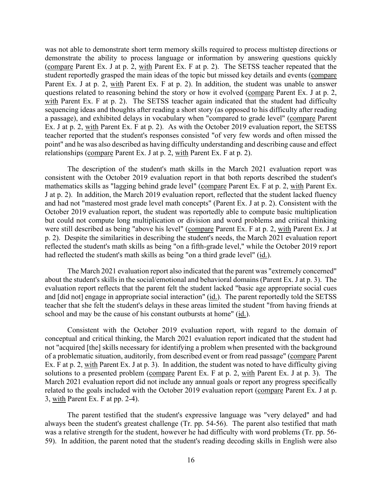questions related to reasoning behind the story or how it evolved (compare Parent Ex. J at p. 2, with Parent Ex. F at p. 2). The SETSS teacher again indicated that the student had difficulty Ex. J at p. 2, with Parent Ex. F at p. 2). As with the October 2019 evaluation report, the SETSS point" and he was also described as having difficulty understanding and describing cause and effect was not able to demonstrate short term memory skills required to process multistep directions or demonstrate the ability to process language or information by answering questions quickly (compare Parent Ex. J at p. 2, with Parent Ex. F at p. 2). The SETSS teacher repeated that the student reportedly grasped the main ideas of the topic but missed key details and events (compare Parent Ex. J at p. 2, with Parent Ex. F at p. 2). In addition, the student was unable to answer sequencing ideas and thoughts after reading a short story (as opposed to his difficulty after reading a passage), and exhibited delays in vocabulary when "compared to grade level" (compare Parent teacher reported that the student's responses consisted "of very few words and often missed the relationships (compare Parent Ex. J at p. 2, with Parent Ex. F at p. 2).

 consistent with the October 2019 evaluation report in that both reports described the student's but could not compute long multiplication or division and word problems and critical thinking The description of the student's math skills in the March 2021 evaluation report was mathematics skills as "lagging behind grade level" (compare Parent Ex. F at p. 2, with Parent Ex. J at p. 2). In addition, the March 2019 evaluation report, reflected that the student lacked fluency and had not "mastered most grade level math concepts" (Parent Ex. J at p. 2). Consistent with the October 2019 evaluation report, the student was reportedly able to compute basic multiplication were still described as being "above his level" (compare Parent Ex. F at p. 2, with Parent Ex. J at p. 2). Despite the similarities in describing the student's needs, the March 2021 evaluation report reflected the student's math skills as being "on a fifth-grade level," while the October 2019 report had reflected the student's math skills as being "on a third grade level" (id.).

and [did not] engage in appropriate social interaction" (id.). The parent reportedly told the SETSS teacher that she felt the student's delays in these areas limited the student "from having friends at The March 2021 evaluation report also indicated that the parent was "extremely concerned" about the student's skills in the social/emotional and behavioral domains (Parent Ex. J at p. 3). The evaluation report reflects that the parent felt the student lacked "basic age appropriate social cues school and may be the cause of his constant outbursts at home" (id.).

Consistent with the October 2019 evaluation report, with regard to the domain of conceptual and critical thinking, the March 2021 evaluation report indicated that the student had not "acquired [the] skills necessary for identifying a problem when presented with the background of a problematic situation, auditorily, from described event or from read passage" (compare Parent Ex. F at p. 2, with Parent Ex. J at p. 3). In addition, the student was noted to have difficulty giving solutions to a presented problem (compare Parent Ex. F at p. 2, with Parent Ex. J at p. 3). The March 2021 evaluation report did not include any annual goals or report any progress specifically related to the goals included with the October 2019 evaluation report (compare Parent Ex. J at p. 3, with Parent Ex. F at pp. 2-4).

The parent testified that the student's expressive language was "very delayed" and had always been the student's greatest challenge (Tr. pp. 54-56). The parent also testified that math was a relative strength for the student, however he had difficulty with word problems (Tr. pp. 56- 59). In addition, the parent noted that the student's reading decoding skills in English were also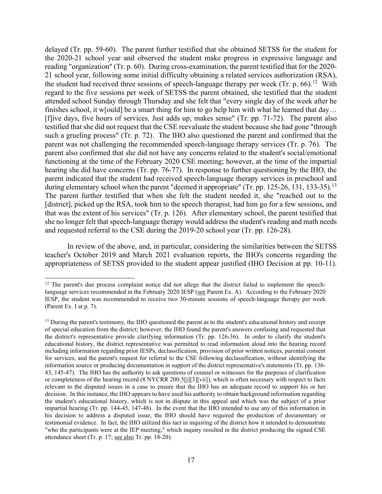reading "organization" (Tr. p. 60). During cross-examination, the parent testified that for the 2020- the student had received three sessions of speech-language therapy per week (Tr. p. 66).<sup>[12](#page-16-0)</sup> With [f]ive days, five hours of services. Just adds up, makes sense" (Tr. pp. 71-72). The parent also functioning at the time of the February 2020 CSE meeting; however, at the time of the impartial hearing she did have concerns (Tr. pp. 76-77). In response to further questioning by the IHO, the parent indicated that the student had received speech-language therapy services in preschool and during elementary school when the parent "deemed it appropriate" (Tr. pp. 125-26, [13](#page-16-1)1, 133-35).<sup>13</sup> delayed (Tr. pp. 59-60). The parent further testified that she obtained SETSS for the student for the 2020-21 school year and observed the student make progress in expressive language and 21 school year, following some initial difficulty obtaining a related services authorization (RSA), regard to the five sessions per week of SETSS the parent obtained, she testified that the student attended school Sunday through Thursday and she felt that "every single day of the week after he finishes school, it w[ould] be a smart thing for him to go help him with what he learned that day… testified that she did not request that the CSE reevaluate the student because she had gone "through such a grueling process" (Tr. p. 72). The IHO also questioned the parent and confirmed that the parent was not challenging the recommended speech-language therapy services (Tr. p. 76). The parent also confirmed that she did not have any concerns related to the student's social/emotional The parent further testified that when she felt the student needed it, she "reached out to the [district], picked up the RSA, took him to the speech therapist, had him go for a few sessions, and that was the extent of his services" (Tr. p. 126). After elementary school, the parent testified that she no longer felt that speech-language therapy would address the student's reading and math needs and requested referral to the CSE during the 2019-20 school year (Tr. pp. 126-28).

appropriateness of SETSS provided to the student appear justified (IHO Decision at pp. 10-11).<br><sup>12</sup> The parent's due process complaint notice did not allege that the district failed to implement the speech-In review of the above, and, in particular, considering the similarities between the SETSS teacher's October 2019 and March 2021 evaluation reports, the IHO's concerns regarding the

<span id="page-16-0"></span>language services recommended in the February 2020 IESP (see Parent Ex. A). According to the February 2020 (Parent Ex. I at p. 7). IESP, the student was recommended to receive two 30-minute sessions of speech-language therapy per week

<span id="page-16-1"></span><sup>&</sup>lt;sup>13</sup> During the parent's testimony, the IHO questioned the parent as to the student's educational history and receipt educational history, the district representative was permitted to read information aloud into the hearing record relevant to the disputed issues in a case to ensure that the IHO has an adequate record to support his or her decision. In this instance, the IHO appears to have used his authority to obtain background information regarding the student's educational history, which is not in dispute in this appeal and which was the subject of a prior testimonial evidence. In fact, the IHO utilized this tact in inquiring of the district how it intended to demonstrate "who the participants were at the IEP meeting," which inquiry resulted in the district producing the signed CSE of special education from the district; however, the IHO found the parent's answers confusing and requested that the district's representative provide clarifying information (Tr. pp. 126-36). In order to clarify the student's including information regarding prior IESPs, declassification, provision of prior written notices, parental consent for services, and the parent's request for referral to the CSE following declassification, without identifying the information source or producing documentation in support of the district representative's statements (Tr. pp. 136- 43, 145-47). The IHO has the authority to ask questions of counsel or witnesses for the purposes of clarification or completeness of the hearing record (8 NYCRR 200.5[j][3][vii]), which is often necessary with respect to facts impartial hearing (Tr. pp. 144-45, 147-48). In the event that the IHO intended to use any of this information in his decision to address a disputed issue, the IHO should have required the production of documentary or attendance sheet (Tr. p. 17; see also Tr. pp. 18-20).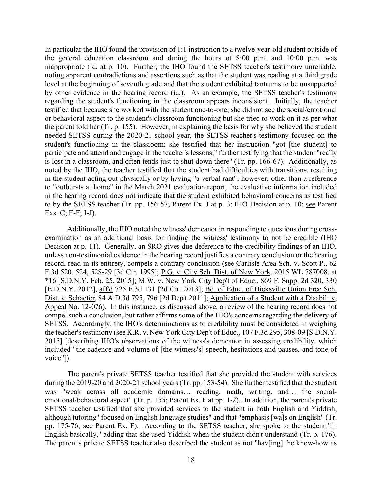by other evidence in the hearing record (*id.*). As an example, the SETSS teacher's testimony student's functioning in the classroom; she testified that her instruction "got [the student] to is lost in a classroom, and often tends just to shut down there" (Tr. pp. 166-67). Additionally, as noted by the IHO, the teacher testified that the student had difficulties with transitions, resulting to by the SETSS teacher (Tr. pp. 156-57; Parent Ex. J at p. 3; IHO Decision at p. 10; see Parent In particular the IHO found the provision of 1:1 instruction to a twelve-year-old student outside of the general education classroom and during the hours of 8:00 p.m. and 10:00 p.m. was inappropriate (id. at p. 10). Further, the IHO found the SETSS teacher's testimony unreliable, noting apparent contradictions and assertions such as that the student was reading at a third grade level at the beginning of seventh grade and that the student exhibited tantrums to be unsupported regarding the student's functioning in the classroom appears inconsistent. Initially, the teacher testified that because she worked with the student one-to-one, she did not see the social/emotional or behavioral aspect to the student's classroom functioning but she tried to work on it as per what the parent told her (Tr. p. 155). However, in explaining the basis for why she believed the student needed SETSS during the 2020-21 school year, the SETSS teacher's testimony focused on the participate and attend and engage in the teacher's lessons," further testifying that the student "really in the student acting out physically or by having "a verbal rant"; however, other than a reference to "outbursts at home" in the March 2021 evaluation report, the evaluative information included in the hearing record does not indicate that the student exhibited behavioral concerns as testified Exs. C; E-F; I-J).

 compel such a conclusion, but rather affirms some of the IHO's concerns regarding the delivery of Additionally, the IHO noted the witness' demeanor in responding to questions during crossexamination as an additional basis for finding the witness' testimony to not be credible (IHO Decision at p. 11). Generally, an SRO gives due deference to the credibility findings of an IHO, unless non-testimonial evidence in the hearing record justifies a contrary conclusion or the hearing record, read in its entirety, compels a contrary conclusion (see Carlisle Area Sch. v. Scott P., 62 F.3d 520, 524, 528-29 [3d Cir. 1995]; P.G. v. City Sch. Dist. of New York, 2015 WL 787008, at \*16 [S.D.N.Y. Feb. 25, 2015]; M.W. v. New York City Dep't of Educ., 869 F. Supp. 2d 320, 330 [E.D.N.Y. 2012], aff'd 725 F.3d 131 [2d Cir. 2013]; Bd. of Educ. of Hicksville Union Free Sch. Dist. v. Schaefer, 84 A.D.3d 795, 796 [2d Dep't 2011]; Application of a Student with a Disability, Appeal No. 12-076). In this instance, as discussed above, a review of the hearing record does not SETSS. Accordingly, the IHO's determinations as to credibility must be considered in weighing the teacher's testimony (see K.R. v. New York City Dep't of Educ., 107 F.3d 295, 308-09 [S.D.N.Y. 2015] [describing IHO's observations of the witness's demeanor in assessing credibility, which included "the cadence and volume of [the witness's] speech, hesitations and pauses, and tone of voice"]).

 during the 2019-20 and 2020-21 school years (Tr. pp. 153-54). She further testified that the student emotional/behavioral aspect" (Tr. p. 155; Parent Ex. F at pp. 1-2). In addition, the parent's private pp. 175-76; see Parent Ex. F). According to the SETSS teacher, she spoke to the student "in English basically," adding that she used Yiddish when the student didn't understand (Tr. p. 176). The parent's private SETSS teacher testified that she provided the student with services was "weak across all academic domains… reading, math, writing, and… the social-SETSS teacher testified that she provided services to the student in both English and Yiddish, although tutoring "focused on English language studies" and that "emphasis [wa]s on English" (Tr. The parent's private SETSS teacher also described the student as not "hav[ing] the know-how as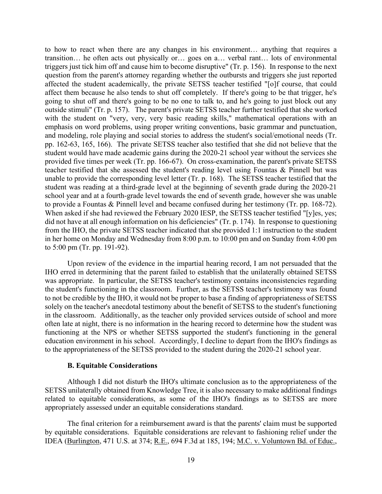to how to react when there are any changes in his environment… anything that requires a pp. 162-63, 165, 166). The private SETSS teacher also testified that she did not believe that the unable to provide the corresponding level letter (Tr. p. 168). The SETSS teacher testified that the student was reading at a third-grade level at the beginning of seventh grade during the 2020-21 to provide a Fountas & Pinnell level and became confused during her testimony (Tr. pp. 168-72). transition… he often acts out physically or… goes on a… verbal rant… lots of environmental triggers just tick him off and cause him to become disruptive" (Tr. p. 156). In response to the next question from the parent's attorney regarding whether the outbursts and triggers she just reported affected the student academically, the private SETSS teacher testified "[o]f course, that could affect them because he also tends to shut off completely. If there's going to be that trigger, he's going to shut off and there's going to be no one to talk to, and he's going to just block out any outside stimuli" (Tr. p. 157). The parent's private SETSS teacher further testified that she worked with the student on "very, very, very basic reading skills," mathematical operations with an emphasis on word problems, using proper writing conventions, basic grammar and punctuation, and modeling, role playing and social stories to address the student's social/emotional needs (Tr. student would have made academic gains during the 2020-21 school year without the services she provided five times per week (Tr. pp. 166-67). On cross-examination, the parent's private SETSS teacher testified that she assessed the student's reading level using Fountas & Pinnell but was school year and at a fourth-grade level towards the end of seventh grade, however she was unable When asked if she had reviewed the February 2020 IESP, the SETSS teacher testified "[y]es, yes; did not have at all enough information on his deficiencies" (Tr. p. 174). In response to questioning from the IHO, the private SETSS teacher indicated that she provided 1:1 instruction to the student in her home on Monday and Wednesday from 8:00 p.m. to 10:00 pm and on Sunday from 4:00 pm to 5:00 pm (Tr. pp. 191-92).

 was appropriate. In particular, the SETSS teacher's testimony contains inconsistencies regarding the student's functioning in the classroom. Further, as the SETSS teacher's testimony was found in the classroom. Additionally, as the teacher only provided services outside of school and more Upon review of the evidence in the impartial hearing record, I am not persuaded that the IHO erred in determining that the parent failed to establish that the unilaterally obtained SETSS to not be credible by the IHO, it would not be proper to base a finding of appropriateness of SETSS solely on the teacher's anecdotal testimony about the benefit of SETSS to the student's functioning often late at night, there is no information in the hearing record to determine how the student was functioning at the NPS or whether SETSS supported the student's functioning in the general education environment in his school. Accordingly, I decline to depart from the IHO's findings as to the appropriateness of the SETSS provided to the student during the 2020-21 school year.

#### **B. Equitable Considerations**

 Although I did not disturb the IHO's ultimate conclusion as to the appropriateness of the SETSS unilaterally obtained from Knowledge Tree, it is also necessary to make additional findings related to equitable considerations, as some of the IHO's findings as to SETSS are more appropriately assessed under an equitable considerations standard.

The final criterion for a reimbursement award is that the parents' claim must be supported by equitable considerations. Equitable considerations are relevant to fashioning relief under the IDEA (Burlington, 471 U.S. at 374; R.E., 694 F.3d at 185, 194; M.C. v. Voluntown Bd. of Educ.,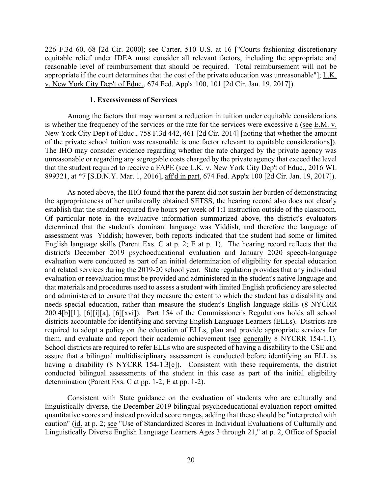226 F.3d 60, 68 [2d Cir. 2000]; see Carter, 510 U.S. at 16 ["Courts fashioning discretionary equitable relief under IDEA must consider all relevant factors, including the appropriate and reasonable level of reimbursement that should be required. Total reimbursement will not be appropriate if the court determines that the cost of the private education was unreasonable"];  $L.K.$ v. New York City Dep't of Educ., 674 Fed. App'x 100, 101 [2d Cir. Jan. 19, 2017]).

#### **1. Excessiveness of Services**

New York City Dep't of Educ., 758 F.3d 442, 461 [2d Cir. 2014] [noting that whether the amount of the private school tuition was reasonable is one factor relevant to equitable considerations]). that the student required to receive a FAPE (see L.K. v. New York City Dep't of Educ., 2016 WL Among the factors that may warrant a reduction in tuition under equitable considerations is whether the frequency of the services or the rate for the services were excessive a (see E.M. v. The IHO may consider evidence regarding whether the rate charged by the private agency was unreasonable or regarding any segregable costs charged by the private agency that exceed the level 899321, at \*7 [S.D.N.Y. Mar. 1, 2016], aff'd in part, 674 Fed. App'x 100 [2d Cir. Jan. 19, 2017]).

establish that the student required five hours per week of 1:1 instruction outside of the classroom. assessment was Yiddish; however, both reports indicated that the student had some or limited that materials and procedures used to assess a student with limited English proficiency are selected 200.4[b][1], [6][i][a], [6][xvi]). Part 154 of the Commissioner's Regulations holds all school them, and evaluate and report their academic achievement (see generally 8 NYCRR 154-1.1). As noted above, the IHO found that the parent did not sustain her burden of demonstrating the appropriateness of her unilaterally obtained SETSS, the hearing record also does not clearly Of particular note in the evaluative information summarized above, the district's evaluators determined that the student's dominant language was Yiddish, and therefore the language of English language skills (Parent Exs. C at p. 2; E at p. 1). The hearing record reflects that the district's December 2019 psychoeducational evaluation and January 2020 speech-language evaluation were conducted as part of an initial determination of eligibility for special education and related services during the 2019-20 school year. State regulation provides that any individual evaluation or reevaluation must be provided and administered in the student's native language and and administered to ensure that they measure the extent to which the student has a disability and needs special education, rather than measure the student's English language skills (8 NYCRR districts accountable for identifying and serving English Language Learners (ELLs). Districts are required to adopt a policy on the education of ELLs, plan and provide appropriate services for School districts are required to refer ELLs who are suspected of having a disability to the CSE and assure that a bilingual multidisciplinary assessment is conducted before identifying an ELL as having a disability (8 NYCRR 154-1.3[e]). Consistent with these requirements, the district conducted bilingual assessments of the student in this case as part of the initial eligibility determination (Parent Exs. C at pp. 1-2; E at pp. 1-2).

Consistent with State guidance on the evaluation of students who are culturally and linguistically diverse, the December 2019 bilingual psychoeducational evaluation report omitted quantitative scores and instead provided score ranges, adding that these should be "interpreted with caution" (id. at p. 2; see "Use of Standardized Scores in Individual Evaluations of Culturally and Linguistically Diverse English Language Learners Ages 3 through 21," at p. 2, Office of Special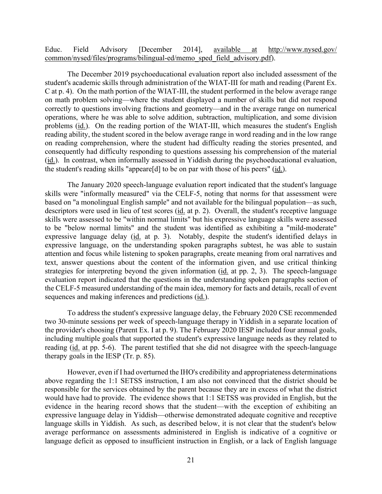Educ. Field Advisory [December 2014], available at [http://www.nysed.gov/](http://www.nysed.gov/%20common/nysed/files/programs/bilingual-ed/memo_sped_field_advisory.pdf)  [common/nysed/files/programs/bilingual-ed/memo\\_sped\\_field\\_advisory.pdf\)](http://www.nysed.gov/%20common/nysed/files/programs/bilingual-ed/memo_sped_field_advisory.pdf).

 C at p. 4). On the math portion of the WIAT-III, the student performed in the below average range the student's reading skills "appeare[d] to be on par with those of his peers" (id.). The December 2019 psychoeducational evaluation report also included assessment of the student's academic skills through administration of the WIAT-III for math and reading (Parent Ex. on math problem solving—where the student displayed a number of skills but did not respond correctly to questions involving fractions and geometry—and in the average range on numerical operations, where he was able to solve addition, subtraction, multiplication, and some division problems (id.). On the reading portion of the WIAT-III, which measures the student's English reading ability, the student scored in the below average range in word reading and in the low range on reading comprehension, where the student had difficulty reading the stories presented, and consequently had difficulty responding to questions assessing his comprehension of the material (id.). In contrast, when informally assessed in Yiddish during the psychoeducational evaluation,

descriptors were used in lieu of test scores (id. at p. 2). Overall, the student's receptive language expressive language delay (id. at p. 3). Notably, despite the student's identified delays in strategies for interpreting beyond the given information (*id.* at pp. 2, 3). The speech-language The January 2020 speech-language evaluation report indicated that the student's language skills were "informally measured" via the CELF-5, noting that norms for that assessment were based on "a monolingual English sample" and not available for the bilingual population—as such, skills were assessed to be "within normal limits" but his expressive language skills were assessed to be "below normal limits" and the student was identified as exhibiting a "mild-moderate" expressive language, on the understanding spoken paragraphs subtest, he was able to sustain attention and focus while listening to spoken paragraphs, create meaning from oral narratives and text, answer questions about the content of the information given, and use critical thinking evaluation report indicated that the questions in the understanding spoken paragraphs section of the CELF-5 measured understanding of the main idea, memory for facts and details, recall of event sequences and making inferences and predictions (id.).

 therapy goals in the IESP (Tr. p. 85). To address the student's expressive language delay, the February 2020 CSE recommended two 30-minute sessions per week of speech-language therapy in Yiddish in a separate location of the provider's choosing (Parent Ex. I at p. 9). The February 2020 IESP included four annual goals, including multiple goals that supported the student's expressive language needs as they related to reading (id. at pp. 5-6). The parent testified that she did not disagree with the speech-language

 would have had to provide. The evidence shows that 1:1 SETSS was provided in English, but the language skills in Yiddish. As such, as described below, it is not clear that the student's below However, even if I had overturned the IHO's credibility and appropriateness determinations above regarding the 1:1 SETSS instruction, I am also not convinced that the district should be responsible for the services obtained by the parent because they are in excess of what the district evidence in the hearing record shows that the student—with the exception of exhibiting an expressive language delay in Yiddish—otherwise demonstrated adequate cognitive and receptive average performance on assessments administered in English is indicative of a cognitive or language deficit as opposed to insufficient instruction in English, or a lack of English language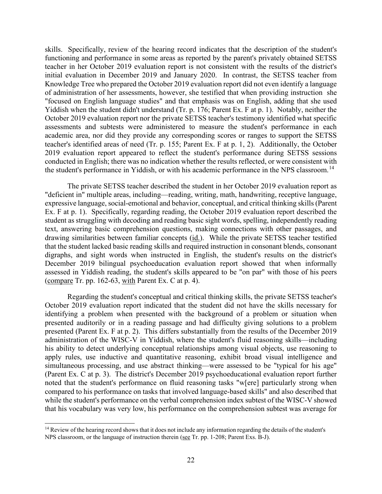skills. Specifically, review of the hearing record indicates that the description of the student's initial evaluation in December 2019 and January 2020. In contrast, the SETSS teacher from of administration of her assessments, however, she testified that when providing instruction she functioning and performance in some areas as reported by the parent's privately obtained SETSS teacher in her October 2019 evaluation report is not consistent with the results of the district's Knowledge Tree who prepared the October 2019 evaluation report did not even identify a language "focused on English language studies" and that emphasis was on English, adding that she used Yiddish when the student didn't understand (Tr. p. 176; Parent Ex. F at p. 1). Notably, neither the October 2019 evaluation report nor the private SETSS teacher's testimony identified what specific assessments and subtests were administered to measure the student's performance in each academic area, nor did they provide any corresponding scores or ranges to support the SETSS teacher's identified areas of need (Tr. p. 155; Parent Ex. F at p. 1, 2). Additionally, the October 2019 evaluation report appeared to reflect the student's performance during SETSS sessions conducted in English; there was no indication whether the results reflected, or were consistent with the student's performance in Yiddish, or with his academic performance in the NPS classroom.<sup>14</sup>

drawing similarities between familiar concepts (id.). While the private SETSS teacher testified (compare Tr. pp.  $162-63$ , with Parent Ex. C at p. 4). The private SETSS teacher described the student in her October 2019 evaluation report as "deficient in" multiple areas, including—reading, writing, math, handwriting, receptive language, expressive language, social-emotional and behavior, conceptual, and critical thinking skills (Parent Ex. F at p. 1). Specifically, regarding reading, the October 2019 evaluation report described the student as struggling with decoding and reading basic sight words, spelling, independently reading text, answering basic comprehension questions, making connections with other passages, and that the student lacked basic reading skills and required instruction in consonant blends, consonant digraphs, and sight words when instructed in English, the student's results on the district's December 2019 bilingual psychoeducation evaluation report showed that when informally assessed in Yiddish reading, the student's skills appeared to be "on par" with those of his peers

 (Parent Ex. C at p. 3). The district's December 2019 psychoeducational evaluation report further Regarding the student's conceptual and critical thinking skills, the private SETSS teacher's October 2019 evaluation report indicated that the student did not have the skills necessary for identifying a problem when presented with the background of a problem or situation when presented auditorily or in a reading passage and had difficulty giving solutions to a problem presented (Parent Ex. F at p. 2). This differs substantially from the results of the December 2019 administration of the WISC-V in Yiddish, where the student's fluid reasoning skills—including his ability to detect underlying conceptual relationships among visual objects, use reasoning to apply rules, use inductive and quantitative reasoning, exhibit broad visual intelligence and simultaneous processing, and use abstract thinking—were assessed to be "typical for his age" noted that the student's performance on fluid reasoning tasks "w[ere] particularly strong when compared to his performance on tasks that involved language-based skills" and also described that while the student's performance on the verbal comprehension index subtest of the WISC-V showed that his vocabulary was very low, his performance on the comprehension subtest was average for

<span id="page-21-0"></span>NPS classroom, or the language of instruction therein (see Tr. pp. 1-208; Parent Exs. B-J). <sup>14</sup> Review of the hearing record shows that it does not include any information regarding the details of the student's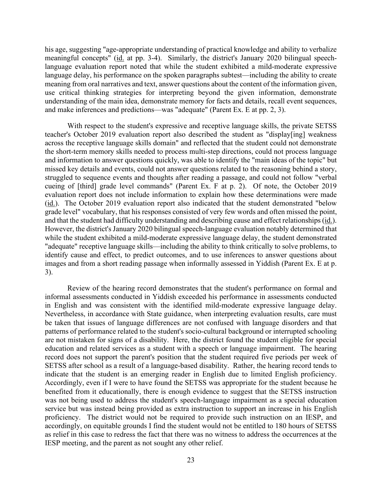meaningful concepts" (id. at pp. 3-4). Similarly, the district's January 2020 bilingual speech- and make inferences and predictions—was "adequate" (Parent Ex. E at pp. 2, 3). his age, suggesting "age-appropriate understanding of practical knowledge and ability to verbalize language evaluation report noted that while the student exhibited a mild-moderate expressive language delay, his performance on the spoken paragraphs subtest—including the ability to create meaning from oral narratives and text, answer questions about the content of the information given, use critical thinking strategies for interpreting beyond the given information, demonstrate understanding of the main idea, demonstrate memory for facts and details, recall event sequences,

 teacher's October 2019 evaluation report also described the student as "display[ing] weakness cueing of [third] grade level commands" (Parent Ex. F at p. 2). Of note, the October 2019 evaluation report does not include information to explain how these determinations were made images and from a short reading passage when informally assessed in Yiddish (Parent Ex. E at p. With respect to the student's expressive and receptive language skills, the private SETSS across the receptive language skills domain" and reflected that the student could not demonstrate the short-term memory skills needed to process multi-step directions, could not process language and information to answer questions quickly, was able to identify the "main ideas of the topic" but missed key details and events, could not answer questions related to the reasoning behind a story, struggled to sequence events and thoughts after reading a passage, and could not follow "verbal (id.). The October 2019 evaluation report also indicated that the student demonstrated "below grade level" vocabulary, that his responses consisted of very few words and often missed the point, and that the student had difficulty understanding and describing cause and effect relationships (id.). However, the district's January 2020 bilingual speech-language evaluation notably determined that while the student exhibited a mild-moderate expressive language delay, the student demonstrated "adequate" receptive language skills—including the ability to think critically to solve problems, to identify cause and effect, to predict outcomes, and to use inferences to answer questions about 3).

in English and was consistent with the identified mild-moderate expressive language delay. are not mistaken for signs of a disability. Here, the district found the student eligible for special SETSS after school as a result of a language-based disability. Rather, the hearing record tends to indicate that the student is an emerging reader in English due to limited English proficiency. indicate that the student is an emerging reader in English due to limited English proficiency. Accordingly, even if I were to have found the SETSS was appropriate for the student because he service but was instead being provided as extra instruction to support an increase in his English accordingly, on equitable grounds I find the student would not be entitled to 180 hours of SETSS as relief in this case to redress the fact that there was no witness to address the occurrences at the Review of the hearing record demonstrates that the student's performance on formal and informal assessments conducted in Yiddish exceeded his performance in assessments conducted Nevertheless, in accordance with State guidance, when interpreting evaluation results, care must be taken that issues of language differences are not confused with language disorders and that patterns of performance related to the student's socio-cultural background or interrupted schooling education and related services as a student with a speech or language impairment. The hearing record does not support the parent's position that the student required five periods per week of benefited from it educationally, there is enough evidence to suggest that the SETSS instruction was not being used to address the student's speech-language impairment as a special education proficiency. The district would not be required to provide such instruction on an IESP, and IESP meeting, and the parent as not sought any other relief.